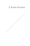## A Touch of Green

The Chinese University Press Copyrighted Materials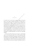It was the year we won the war against Japan and moved back to our capital, Nanking. We lived in Ta-fang Alley in East Benevolence Village, one of the housing complexes for the dependents of middle- and lower-rank Air Force men. To think that after enduring all that misery for so many years in a backward province like Szechwan, we should suddenly return to the "Painted Capital" of Six Dynasties fame! Everywhere we were greeted by relics of ancient splendors and the hustle and bustle of the triumphant moment; everywhere there was an atmosphere of imperial grandeur; our eyes were continually dazzled. The Chinesials

At that time Wei-ch'eng was serving as commanding officer of the Eleventh Group. Two of the squadrons under him had just come back from training in America, so the pilots in his group were rather highly thought of and kept busy with many assignments. Whenever there was an important mission to fly, he'd take the boys out himself. Sometimes, three or

1 \*\*\*\*\*\*\*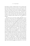four days in a week, I would not get to see so much as the back of his head. Every time he went on a mission he'd take Kuo Chen along. Kuo Chen was his favorite student; even when he was a cadet at the Air Force Academy in Kuanhsien, Szechwan, Wei-ch'eng used to say to me, "That kid is as smart as a whip! He's got a great future ahead of him." Sure enough, in just a few short years, Kuo Chen had worked his way up to squadron leader and got sent off to America for training.

Kuo Chen was an Air Force orphan. His father was a schoolmate of Wei-ch'eng's who had been killed in a plane crash when Kuo Chen was very small; and his mother had fallen ill and died soon after. While he was at the Academy, whenever New Year's and other festivals rolled around, I'd invite him over to our home for family dinner. Wei-ch'eng and I had nor chick nor child, and when we saw Kuo Chen all on his lonesome we just sort of took him under our wing. In those days he had his head shaved — his scalp looked green and shiny - and he wore the mud-yellow cotton uniform of an Air Force cadet. He was a bright boy — that you could tell from everything he did and from the way he carried himself. But he was still shy with words, just a kid after all. My, it gave me a surprise the day he got back from America and came rushing over to our home in Nanking! He saluted me smartly and called me "Shih-niang."<sup>1</sup> I simply couldn't believe my eyes. He was all dressed up in an American-style gabardine uniform, a leather jacket with a fur collar, and a belt buckled tight with his Ray-Ban goggles-case fastened to it. He wore nough, in just a few short years, Kuo Chen had worked<br>ay up to squadron leader and got sent off to America<br>ining.<br>Kuo Chen was an Air Force orphan. His father w<br>hoolmate of Wei-ch'eng's who had been killed in a p<br>ash when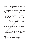his high-peaked cap with the brim pulled down to just over his eyebrows; he had let his hair grow; it was black and shiny, brushed back neatly over his ears. Only a couple of years. Who would have expected Kuo Chen to turn out to be such a dashing young officer!

"Well, well, young man!" I said to him with a laugh. "You must have brought back some good news this time, huh?"

"Oh, nothing special, Shih-niang. I just saved up a few hundred dollars U.S., that's all."

"Aha! Enough to get yourself a wife with!" Ichuckled.

"That's right, Shih-niang!" He grinned." As a matter of fact, I'm looking around right now."

Our young pilots practically stole the whole show in postwar Nanking. No matter where you went, you were bound to run into some cocky flyboy parading around with a fashionably-dressed girl on his arm. Romance was in the air — every pilot who was single was talking about falling in love. Every month we'd get wedding invitations from some of Wei-ch'eng's students. But it was more than a year since Kuo Chen had come back from America, and I hadn't gotten the good word from him yet. Oh, once in a while he'd bring some stylish young lady or other to our house to sample my famous dish, carp cooked in bean sauce. Afterwards, though, when I asked him what was what, he'd just shake his head and laugh. The Chinese University Press Copyright Data Some good news this time, huh?<br>
Oh, nothing special, Shih-niang. I just saved up a fel<br>
red dollars U.S., that's all."<br>
Aha! Enough to get yourself a wife with!" [chuckled.<br>
That

"It's nothing, Shih-niang. I'm just having fun."

Then, one day, he came running and told me the good news: This time it was serious. He'd fallen in love with a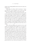student at the Ginling Middle School for Girls. Her name was Verdancy Chu.

"Shih-niang," he told me, full of excitement, "I know you'll like her! I want to bring her over to meet you. Shihniang, I never thought I could be so serious about a girl!"

By this time I must say I understood Kuo Chen pretty well. He was a proud boy; he'd made his mark early, so naturally he thought rather highly of himself. Whenever we talked about his future plans he'd tell me he would never marry unless he found a girl who met his standards in every way. The young ladies he'd brought over before were all extraordinarily pretty, every one of them, but none had measured up to his expectations. I thought to myself, this girl Verdancy must be some kind of fairy maiden sent from Heaven for Kuo Chen to be so smitten. e was a proud boy; he'd made his mark early, so natural<br>ought rather highly of himself. Whenever we talked a<br>s future plans he'd tell me he would never marry unles<br>und a girl who met his standards in every way. The ye<br>die

When I did meet Verdancy, she turned out to be a total surprise. One day Kuo Chen brought her to our house for lunch. She was rather frail, a slip of a girl of eighteen or nineteen. Even though she'd come as a guest she just had on a plain blue cotton *ch'i-p'ao*, neither new nor old, with an ordinary white silk handkerchief tucked under the flap below her collar. She didn't have a permanent; her hair was combed back tidily behind her ears. She wore plain black leather shoes with straps and a pair of cotton ankle-socks, spotlessly white. I gave her a good looking-over: her body hadn't quite filled out yet, she seemed a bit flat-chested, and her complexion was on the pale side. But there was something limpid and graceful about her eyes it did your heart good to see. When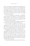she saw me she kept her head half-lowered, bashfully, with a timid air that somehow reached out to you. All during lunch, no matter how hard I tried to get her to talk, she did no more than mumble a word or two in reply. Kuo Chen kept himself busy, though, helping her to food one moment and pouring her tea the next, all the while trying to prod her into making some kind of conversation.

"You see how difficult this young lady is!" Finally Kuo Chen lost patience with Verdancy. "At least she's got something to talk about when she's with me, but the minute she sees people she clams up. Shih-niang is no stranger, and still she acts like she's lost her tongue!" Eximation Solutions Nou see how difficult this young lady is!" Finally Ku lost patience with Verdancy. "At least she's got some to talk about when she's with me, but the minute she people she clams up. Shih-niang is no str

Kuo Chen was being a little too rough on her, really! Verdancy turned away, her face red with embarrassment.

"That's all right." I felt rather sorry for the girl and stopped Kuo Chen. "This is Miss Chu's first visit; of course she's a little shy. Now don't you pick on her. After lunch why don't you two go for an outing on Lake Hsuanwu? The lotus flowers there are in full bloom now. It's a gorgeous sight."

Kuo Chen had come on his flashy new motorcycle. When they left after lunch he put Verdancy on the back seat and helped her tie her black silk scarf around her hair; then he leaped into the saddle and started to rev up; he gave me a jaunty wave and was off in a flash, carrying Verdancy with him. She snuggled up against Kuo Chen's back, her scarf flapping high in the wind. From the way he treated her I knew he was serious this time all right.

One day Wei-ch'eng came home with a frown on his face;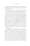the minute he walked in the door he started fuming. "That kid Kuo Chen is getting to be impossible! I didn't expect him to turn out like this."

"What's the matter?" I was astonished; I'd never heard Wei-ch'eng say an unpleasant word about Kuo Chen before.

"Do you have to ask me? Didn't you know he's been running around with a Ginling Middle School girl? He must have lost his head over her! He thinks nothing of breaking into her school any time of the day and trying to get her out, whether she's in class or not. And that's not all! The other day when he was up on a training flight, he actually flew over the Ginling campus and kept circling the school building! All the schoolgirls got excited and stuck their heads out of their classroom windows to see what was going on. The principal himself reported it to our headquarters - now I ask you, what kind of impression does that create for the outfit? One of my pilots carrying on like a lunatic. I'll have to punish him — but good!" mining around with a Ginling Middle School girl? He-1<br>we lost his head over her! He thinks nothing of brea<br>to her school any time of the day and trying to get her<br>hether she's in class or not. And that's not all! The c<br>y w

Kuo Chen got a letter of reprimand in his record and was demoted from squadron leader. When I saw him, he tried to explain to me. "Shih-niang, I didn't mean to break the regs and get Lao-shih mad at me. It's Verdancy, she's stolen my heart away. Honest, Shih-niang, when I'm flying up there in the sky, my heart is down here on the ground, following her around. Verdancy's such a sweet kid, maybe a little shy and doesn't mix with people much. Now I've gotten her expelled from school; her folks have wired her from Chungking to come straight home. She'd rather die than go back! She got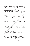into a fight with her parents and broke with them. She says she'll follow me to the ends of the earth, no matter what, for the rest of her life! Now she's staying all by herself in a little hotel, and she doesn't know what to do next."

"Oh, you idiot," I sighed, shaking my head. I had no idea even smart people would turn foolish when they fell in love. "Since you two are so crazy about each other, why don't you go get married?"

"Shih-niang, that's just what I've come to talk to you about, and to ask you and Lao-shih to preside at the wedding." Kuo Chen beamed.

After Kuo Chen and Verdancy were married, they moved into our East Benevolence Village. Kuo Chen had two week's leave to get married; he and Verdancy had planned to go to West Lake on their honeymoon, but just before they were to leave the Civil War broke out. Wei-ch'eng and his group were ordered to Manchuria. The morning they were to take off, in the early dawn, Kuo Chen stole into my kitchen. I was just starting a fire to cook Wei-ch'eng his porridge. Kuo Chen, his jacket over his shoulders, his hair all mussed, eyes bloodshot, unshaven, grabbed my hand. The Chinese Wave and the Chineses Contains Control of the Chinesen Control of the Chinese University Chinese Copyright, and to ask you and Lao-shih to preside at the wedding Chen beamed.<br>
The Chinese University Chinese Cop

"Shih-niang," he said hoarsely, "This time, no matter what, I've got to rely on you to take care of — "

"I know," I interrupted him. "While you're gone, of course I'm going to look after that little wife of yours."

"Shih-niang — " Kuo Chen was still worrying. "Verdancy's too young; there's a lot she doesn't understand about the way we do things in the Air Force. You've just got to treat her like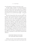one of the family, try to get her to learn how to cope."

"All right, all right," I laughed." Your Shih-niang has been with your Lao-shih all these years; I guess there's nothing in the Air Force I haven't seen. I don't know how many Air Force wives have learned the ropes from me. Verdancy's not dumb. You just leave it to me, and I'll set her straight — all in good time."

After Wei-ch'eng and Kuo Chen and some of the other boys left, I got my housework done and went over to see Verdancy. They had been assigned a neat little bungalow. Before they moved in, Kuo Chen had the place painted spic and span, put up new drapes, and made it an attractive little home. When I walked in, I saw they still had the wedding decorations up in the living room. The table and chairs were piled high with wedding presents in their red and green wrappings, some of the packages still unopened. The table was surrounded by baskets of flowers; the roses and the gladioli were still fresh; even the phoenix-tail ferns had remained green. The wedding scrolls hadn't been taken down yet; on the living-room wall hung a wedding plaque presented by Kuo Chen's schoolmates, an ebony affair with gold inlaid characters: me."<br>After Wei-ch'eng and Kuo Chen and some of the c<br>oys left, I got my housework done and weat over te<br>redancy. They had been assigned a neat liftle bunga<br>fore they moved in, Kuo Chen had the place painted<br>al span, put up

## TOGETHER THROUGH THE YEARS TILL YOUR HAIR TURNS TO SILVER

Verdancy was in her room; she hadn't heard me when I came in. She was lying on her side, her face buried in the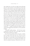quilt, sobbing. She was still in her bright-colored silk bridal gown; her new permanent was all mussed up, the hair-ends sticking out like a bunch of twigs. She'd rumpled up their silk quilt-cover; on the traditional nuptial bedding embroidered with pairs of mandarin ducks in all the colors of the rainbow was a tear stain as big as a bowl near her face. When she heard me come in, she started and sat up; the only word she got out was "Shih-niang," and then all she could do was sob. Her face was pea-green, her eyes swollen, she looked more fragile than ever. I went over to smooth her hair down, and then wrung out a hot towel and handed it to her. Verdancy took the towel, covered her face with it, and broke down again. Outside the house military trucks and jeeps were loading and hauling off baggage; the ear-shattering clang of iron rods and chains went on and on. One after another the men of the Village were leaving for the front; there was a general commotion — women screaming and children crying. I waited until Verdancy had cried herself out. Then I patted her shoulder. If me come in, she started and sat up; the only word of sut was "Shih-niang," and then all she could do was so<br>face was pea-green, her eyes swollen, she looked moile than ever. I went over to smooth her hair down, an<br>wrung

"Well, these sudden partings — the first time around, it always hits you like this. Don't cook tonight. Come have dinner with me and keep me company."

Once Wei-ch'eng and Kuo Chen were gone, we didn't have the vaguest notion where they were. One day we heard they were sent to the North, the next day they wrote us they'd flown to Central China. Several months passed, and they didn't come home once. During this time Verdancy was with me constantly. Sometimes I showed her how to cook,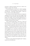sometimes I taught her knitting, and once in a while I even taught her to play a little mah-jong.

"Now this little game is a real cure-all," I told her, laughingly. "Whenever you've got something on your mind, just sit down at the table and — Red Dragon, White Dragon! — before you know it, all your worries will be forgotten!"

After she got married Verdancy had become much more outgoing, but she was still a little timid with strangers. Except for coming to my place she didn't make friends with any other families in the Village. I knew practically all their histories, so by and by I started telling Verdancy about them so she'd know something of the kind of life we lived. $\mathcal{O}$ 

"Don't sell these people short, I said to her. "They've all been through a lot. Take Mrs. Chou, for example, the lady who lives in back of you. She's been married four times. Her present husband and the three before him were in the same squadron — they were all good friends to begin with. When one died the next took over, and so on, one by one. Sort of an understanding, you see, so that there would always be someone to take care of her. And Mrs. Hsu across the street from you, her husband used to be her younger brother-in-law. The Hsu brothers were both in the Thirteenth Group. The older brother got killed, and the younger brother took his place. To the children by her first husband he's Uncle, and at the same time he's Papa; for a long time they just didn't know what to call him." After she got married Verdancy had become much-<br>trgoing, but she was still a little timid with strangers. Ex<br>
r coming to my place she didn't make friends with any c<br>
milies in the Village. I knew practically all their hi

"But how can they still talk and laugh like that?" Verdancy looked at me in bewilderment.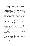"My dear girl?" I laughed. "If they don't laugh, what do you expect them to do, cry? If they wanted to cry, they wouldn't have waited till now."

After Kuo Chen left, Verdancy didn't want to go far from the Village; she just stayed close to home every day and waited. Sometimes a whole bunch of us went off to the Confucius Temple District to listen to the singsong girls, but Verdancy wouldn't join us. She said she was afraid of missing a telephone call from headquarters about Kuo Chen. One day a message came from headquarters: Wei-ch'eng's group was stopping over in Shanghai for a day or so; they might get a chance to make a quick side trip to Nanking. Verdancy was up bright and early, dashing in and out, and she came back from market with two basketfuls of groceries. In the afternoon I passed by her door and saw her in a blue cotton worksuit, an old kerchief around her hair, standing on a stool washing the windows. She was so small that even on tiptoe she couldn't reach the window-tops; she had a big washrag in her hand and was swinging left and right across the windowpane with all her might. ucius Temple District to listen to the singsong girls, bandomy wouldn't join us. She said she was afraid of missirephone call from headquarters about Kuo Chem. One das sage came from headquarters: Wei-ch'eng's group wig ov

"Verdancy!" I called out, "Kuo Chen isn't going to see the dust way up there!"

Verdancy looked around; her face flushed when she saw me. "I don't know what's happened," She mumbled. "We've only lived in this house a few months and it alread looks old and dirty. I just can't get it clean."

In the evening, Verdancy came by to invite me to go with her to the Village gatehouse where the military telephone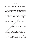was, to wait for the phone call. The people on duty at headquarters had promised to call around six or seven to give us any news. Verdancy had washed and changed. She wore an apricot-colored dress of light silk and, as an additional touch, a pale green ribbon in her hair — she even had some lipstick on — all in all she looked very fresh and lovely. At first she was quite gay, talking and laughing with me, but when it got to be a little past six she became tense, her face drawn, and she stopped her chatter. She was knitting and she kept looking up at the telephone on the table. We waited and waited; it was past nine o'clock before the telephone rang. Verdancy leaped up and rushed to the phone, the ball of wool in her lap fell to the floor and rolled all around, but when she got to the table she turned around to me. ite gay, talking and laughing with me, but when it get<br>
a little past six she became tense, her face drawn and<br>
opped her chatter. She was knitting and she kept lookin<br>
the telephone on the table. We waited and waited; it

"Shih-niang," she said, her voice trembling, "it's the phone."

I went over to answer the phone; the people at headquarters said Wei-ch'eng and his group had stopped for only two hours in Shanghai; they had flown on to northern Kiangsu at five in the afternoon. When I relayed the news to Verdancy, she went pale. For a while she stood there stunned, without uttering a sound, her face twitching as she tried not to cry.

"Let's go home, "I said to her.

We went back into the Village, Verdancy walking behind me quietly. When we reached my door I said, "Don't feel bad. In their line of work you never know what's going to happen next."

Verdancy turned her head away and touched her sleeve to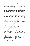her eyes. "I'm not complaining, really." Her voice shook. "It's only, waiting all day in vain — "

I put my arm around her shoulders and hugged her. "Verdancy, my dear, Shih-niang's got something to tell you; I hope you'll listen. It's not easy to be the wife of a Flying Warrior, you know. Twenty-four long hours a day your heart is trailing up there after him. You can gaze at the sky, and look and look, until your eyes run with blood, but your men up there won't even know. They're just like so many iron birds — one moment they fly to the east, the next moment they fly to the west; you just can't catch them. Since you're married into our Village, Verdancy, please don't mind if I speak frankly to you: you've just got to harden your heart in order to endure the storm and stress that is to come." nere after him. You can gaze at the sky, and look and<br>until your eyes run with blood, but your men up then<br>t even know. They're just like so many iron birds — or<br>nent they fly to the east, the next moment they fly to the<br>y

Verdancy stared at me through her tears, nodding her head, only half understanding.

"You go home now." I lifted her chin and smiled at her with a sigh. "Go to bed early tonight."

In the winter of the thirty-seventh year of the Republic, $2$ our side began to lose ground everywhere in the Civil War. As the battles in the North grew more ferocious, quite a few families in our Village got bad news. Some of the wives took to going to the temples every day to plead with the gods and pester the Bodhisattvas; others went to fortune-tellers to learn what their future would hold; still others went to physiognomists to have their bones felt. I've never believed in all that mumbo jumbo myself. Whenever I had no word from Wei-ch'eng over a long spell, I'd invite my neighbors in for a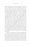game of mah-jong to last through the night and calm myself down. One night, when I was in the middle of a game, that Mrs. Hsu who lived across the way from Verdancy came rushing in and pulled me right out of there; in between gasps she told me Headquarters had just sent word — something terrible had happened to Kuo Chen — it was over Hsuchou — he and his plane were dashed to pieces. When I rushed to Verdancy's house, it was packed with people. Verdancy was slumped backward on a chair, a woman on either side of her, holding her down by the arms; a white towel tied around her head; on the towel you could see a bloodstain as big as your hand. As soon as I came in everybody started talking at once: A little while before, when Verdancy got the news, she ran right to the end of the Village, Kuo Chen's uniform in her arms, howling as she ran; she kept screaming she wanted to go search for Kuo Chen. When people tried to stop her, she started kicking and lashing out as though she'd gone mad. The instant she was outside the Village entrance she dashed her head against an iron telephone pole and drove a big hole in her forehead; when she was carried back, she could hardly utter a sound. Free and his plane were dashed to pieces. When I rusherdancy's house, it was packed with people. Verdancy imped backward on a chair, a woman on either side of blding her down by the arms; a white towel ried arounced; on th

I went over to Verdancy, took a bowl of hot ginger broth from somebody, forced a brass spoon between her teeth, and got a couple of spoonfuls down her throat. Her face was like a fish's belly gashed open; splotches of red and white, blood and sweat all over. Her eyes stared wide open, unseeing. She didn't cry, but her pale lips were opening and closing, a shrill, small noise kept coming from her throat, as if somebody and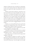stepped on a blind mole and it was letting out a dying shriek. It wasn't until I had force-fed her the whole bowl of broth that her eyes regained their sight and, gradually, she came to herself.

Verdancy was ill in bed a long time. I moved her to my house and watched over her day and night; there were even times when I was playing mah-jong that I put her where I could keep an eye on her. I was afraid if I let her out of my sight she'd try to cut it all short again. She lay in bed all day, wouldn't talk, and wouldn't eat anything. Every day I had to force her to swallow some soup or something. In a few weeks she was just skin and bones, her face ashen, her eyes sunk into two big holes. One day after I finished feeding her I sat on her bedside. s when I was playing mah-jong that I put her where<br>if keep an eye on her. I was afraid if I let her out of m<br>she'd try to cut it all short again. She lay in-bed all da<br>dn't talk, and wouldn't eat anything. Every day I had

"Verdancy, you mustn't let yourself waste away like this and think you're doing it for Kuo Chen. If Kuo Chen is there and knows about it, he won't be able to rest in peace."

Verdancy listened to me; all of a sudden she sat up, shaking; she nodded at me and laughed coldly.

"What does he know? He fell and his body was dashed to pieces; how can he feel now? So much the better for him: bang and he's no more — I died, too, but I can still feel."

As she spoke, her face was distorted, half crying and half laughing, a terrible sight.

After watching over Verdancy for a month or so, I almost broke down myself. Fortunately, just in time, her folks came from Chungking. When her old man saw her he didn't say a word, but her mother spat, "Serves her right! Serves her right!